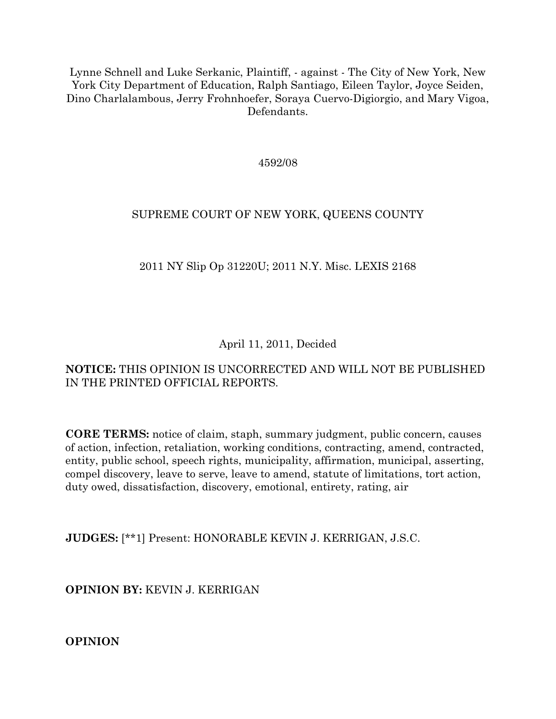Lynne Schnell and Luke Serkanic, Plaintiff, - against - The City of New York, New York City Department of Education, Ralph Santiago, Eileen Taylor, Joyce Seiden, Dino Charlalambous, Jerry Frohnhoefer, Soraya Cuervo-Digiorgio, and Mary Vigoa, Defendants.

4592/08

## SUPREME COURT OF NEW YORK, QUEENS COUNTY

## 2011 NY Slip Op 31220U; 2011 N.Y. Misc. LEXIS 2168

## April 11, 2011, Decided

## **NOTICE:** THIS OPINION IS UNCORRECTED AND WILL NOT BE PUBLISHED IN THE PRINTED OFFICIAL REPORTS.

**CORE TERMS:** notice of claim, staph, summary judgment, public concern, causes of action, infection, retaliation, working conditions, contracting, amend, contracted, entity, public school, speech rights, municipality, affirmation, municipal, asserting, compel discovery, leave to serve, leave to amend, statute of limitations, tort action, duty owed, dissatisfaction, discovery, emotional, entirety, rating, air

**JUDGES:** [\*\*1] Present: HONORABLE KEVIN J. KERRIGAN, J.S.C.

**OPINION BY:** KEVIN J. KERRIGAN

**OPINION**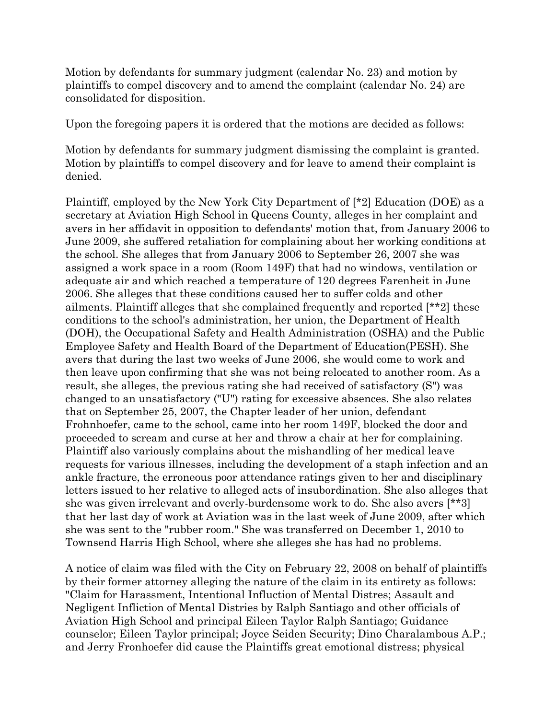Motion by defendants for summary judgment (calendar No. 23) and motion by plaintiffs to compel discovery and to amend the complaint (calendar No. 24) are consolidated for disposition.

Upon the foregoing papers it is ordered that the motions are decided as follows:

Motion by defendants for summary judgment dismissing the complaint is granted. Motion by plaintiffs to compel discovery and for leave to amend their complaint is denied.

Plaintiff, employed by the New York City Department of [\*2] Education (DOE) as a secretary at Aviation High School in Queens County, alleges in her complaint and avers in her affidavit in opposition to defendants' motion that, from January 2006 to June 2009, she suffered retaliation for complaining about her working conditions at the school. She alleges that from January 2006 to September 26, 2007 she was assigned a work space in a room (Room 149F) that had no windows, ventilation or adequate air and which reached a temperature of 120 degrees Farenheit in June 2006. She alleges that these conditions caused her to suffer colds and other ailments. Plaintiff alleges that she complained frequently and reported [\*\*2] these conditions to the school's administration, her union, the Department of Health (DOH), the Occupational Safety and Health Administration (OSHA) and the Public Employee Safety and Health Board of the Department of Education(PESH). She avers that during the last two weeks of June 2006, she would come to work and then leave upon confirming that she was not being relocated to another room. As a result, she alleges, the previous rating she had received of satisfactory (S") was changed to an unsatisfactory ("U") rating for excessive absences. She also relates that on September 25, 2007, the Chapter leader of her union, defendant Frohnhoefer, came to the school, came into her room 149F, blocked the door and proceeded to scream and curse at her and throw a chair at her for complaining. Plaintiff also variously complains about the mishandling of her medical leave requests for various illnesses, including the development of a staph infection and an ankle fracture, the erroneous poor attendance ratings given to her and disciplinary letters issued to her relative to alleged acts of insubordination. She also alleges that she was given irrelevant and overly-burdensome work to do. She also avers [\*\*3] that her last day of work at Aviation was in the last week of June 2009, after which she was sent to the "rubber room." She was transferred on December 1, 2010 to Townsend Harris High School, where she alleges she has had no problems.

A notice of claim was filed with the City on February 22, 2008 on behalf of plaintiffs by their former attorney alleging the nature of the claim in its entirety as follows: "Claim for Harassment, Intentional Influction of Mental Distres; Assault and Negligent Infliction of Mental Distries by Ralph Santiago and other officials of Aviation High School and principal Eileen Taylor Ralph Santiago; Guidance counselor; Eileen Taylor principal; Joyce Seiden Security; Dino Charalambous A.P.; and Jerry Fronhoefer did cause the Plaintiffs great emotional distress; physical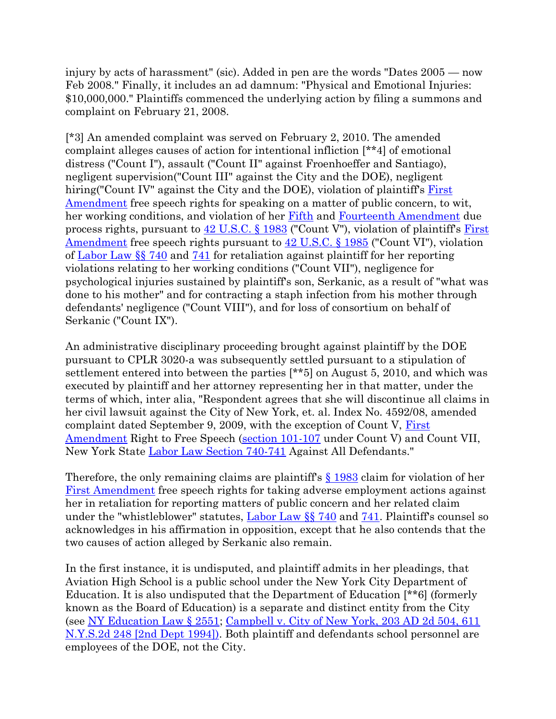injury by acts of harassment" (sic). Added in pen are the words "Dates 2005 — now Feb 2008." Finally, it includes an ad damnum: "Physical and Emotional Injuries: \$10,000,000." Plaintiffs commenced the underlying action by filing a summons and complaint on February 21, 2008.

[\*3] An amended complaint was served on February 2, 2010. The amended complaint alleges causes of action for intentional infliction [\*\*4] of emotional distress ("Count I"), assault ("Count II" against Froenhoeffer and Santiago), negligent supervision("Count III" against the City and the DOE), negligent hiring("Count IV" against the City and the DOE), violation of plaintiff's First [Amendment](http://www.lexisnexis.com.ezproxy.strose.edu/lnacui2api/mungo/lexseestat.do?bct=A&risb=21_T12113245904&homeCsi=9095&A=0.47648393406300316&urlEnc=ISO-8859-1&&citeString=U.S.%20CONST.%20AMEND.%201&countryCode=USA) free speech rights for speaking on a matter of public concern, to wit, her working conditions, and violation of her [Fifth](http://www.lexisnexis.com.ezproxy.strose.edu/lnacui2api/mungo/lexseestat.do?bct=A&risb=21_T12113245904&homeCsi=9095&A=0.47648393406300316&urlEnc=ISO-8859-1&&citeString=U.S.%20CONST.%20AMEND.%205&countryCode=USA) and [Fourteenth Amendment](http://www.lexisnexis.com.ezproxy.strose.edu/lnacui2api/mungo/lexseestat.do?bct=A&risb=21_T12113245904&homeCsi=9095&A=0.47648393406300316&urlEnc=ISO-8859-1&&citeString=U.S.%20CONST.%20AMEND.%2014&countryCode=USA) due process rights, pursuant to  $42$  U.S.C. § 1983 ("Count V"), violation of plaintiff's First [Amendment](http://www.lexisnexis.com.ezproxy.strose.edu/lnacui2api/mungo/lexseestat.do?bct=A&risb=21_T12113245904&homeCsi=9095&A=0.47648393406300316&urlEnc=ISO-8859-1&&citeString=U.S.%20CONST.%20AMEND.%201&countryCode=USA) free speech rights pursuant to [42 U.S.C. § 1985](http://www.lexisnexis.com.ezproxy.strose.edu/lnacui2api/mungo/lexseestat.do?bct=A&risb=21_T12113245904&homeCsi=9095&A=0.47648393406300316&urlEnc=ISO-8859-1&&citeString=42%20U.S.C.%201985&countryCode=USA) ("Count VI"), violation of [Labor Law §§ 740](http://www.lexisnexis.com.ezproxy.strose.edu/lnacui2api/mungo/lexseestat.do?bct=A&risb=21_T12113245904&homeCsi=9095&A=0.47648393406300316&urlEnc=ISO-8859-1&&citeString=N.Y.%20LAB.%20LAW%20740&countryCode=USA) and [741](http://www.lexisnexis.com.ezproxy.strose.edu/lnacui2api/mungo/lexseestat.do?bct=A&risb=21_T12113245904&homeCsi=9095&A=0.47648393406300316&urlEnc=ISO-8859-1&&citeString=N.Y.%20LAB.%20LAW%20741&countryCode=USA) for retaliation against plaintiff for her reporting violations relating to her working conditions ("Count VII"), negligence for psychological injuries sustained by plaintiff's son, Serkanic, as a result of "what was done to his mother" and for contracting a staph infection from his mother through defendants' negligence ("Count VIII"), and for loss of consortium on behalf of Serkanic ("Count IX").

An administrative disciplinary proceeding brought against plaintiff by the DOE pursuant to CPLR 3020-a was subsequently settled pursuant to a stipulation of settlement entered into between the parties [\*\*5] on August 5, 2010, and which was executed by plaintiff and her attorney representing her in that matter, under the terms of which, inter alia, "Respondent agrees that she will discontinue all claims in her civil lawsuit against the City of New York, et. al. Index No. 4592/08, amended complaint dated September 9, 2009, with the exception of Count V, [First](http://www.lexisnexis.com.ezproxy.strose.edu/lnacui2api/mungo/lexseestat.do?bct=A&risb=21_T12113245904&homeCsi=9095&A=0.47648393406300316&urlEnc=ISO-8859-1&&citeString=U.S.%20CONST.%20AMEND.%201&countryCode=USA)  [Amendment](http://www.lexisnexis.com.ezproxy.strose.edu/lnacui2api/mungo/lexseestat.do?bct=A&risb=21_T12113245904&homeCsi=9095&A=0.47648393406300316&urlEnc=ISO-8859-1&&citeString=U.S.%20CONST.%20AMEND.%201&countryCode=USA) Right to Free Speech [\(section 101-107](http://www.lexisnexis.com.ezproxy.strose.edu/lnacui2api/mungo/lexseestat.do?bct=A&risb=21_T12113245904&homeCsi=9095&A=0.47648393406300316&urlEnc=ISO-8859-1&&citeString=N.Y.%20LAB.%20LAW%20101&countryCode=USA) under Count V) and Count VII, New York State [Labor Law Section 740-741](http://www.lexisnexis.com.ezproxy.strose.edu/lnacui2api/mungo/lexseestat.do?bct=A&risb=21_T12113245904&homeCsi=9095&A=0.47648393406300316&urlEnc=ISO-8859-1&&citeString=N.Y.%20LAB.%20LAW%20740&countryCode=USA) Against All Defendants."

Therefore, the only remaining claims are plaintiff's [§ 1983](http://www.lexisnexis.com.ezproxy.strose.edu/lnacui2api/mungo/lexseestat.do?bct=A&risb=21_T12113245904&homeCsi=9095&A=0.47648393406300316&urlEnc=ISO-8859-1&&citeString=42%20U.S.C.%201983&countryCode=USA) claim for violation of her [First Amendment](http://www.lexisnexis.com.ezproxy.strose.edu/lnacui2api/mungo/lexseestat.do?bct=A&risb=21_T12113245904&homeCsi=9095&A=0.47648393406300316&urlEnc=ISO-8859-1&&citeString=U.S.%20CONST.%20AMEND.%201&countryCode=USA) free speech rights for taking adverse employment actions against her in retaliation for reporting matters of public concern and her related claim under the "whistleblower" statutes,  $Labor Law \S\$  740 and [741.](http://www.lexisnexis.com.ezproxy.strose.edu/lnacui2api/mungo/lexseestat.do?bct=A&risb=21_T12113245904&homeCsi=9095&A=0.47648393406300316&urlEnc=ISO-8859-1&&citeString=N.Y.%20LAB.%20LAW%20741&countryCode=USA) Plaintiff's counsel so acknowledges in his affirmation in opposition, except that he also contends that the two causes of action alleged by Serkanic also remain.

In the first instance, it is undisputed, and plaintiff admits in her pleadings, that Aviation High School is a public school under the New York City Department of Education. It is also undisputed that the Department of Education [\*\*6] (formerly known as the Board of Education) is a separate and distinct entity from the City (see [NY Education Law § 2551;](http://www.lexisnexis.com.ezproxy.strose.edu/lnacui2api/mungo/lexseestat.do?bct=A&risb=21_T12113245904&homeCsi=9095&A=0.47648393406300316&urlEnc=ISO-8859-1&&citeString=N.Y.%20EDUC.%20LAW%202551&countryCode=USA) [Campbell v. City of New York, 203 AD 2d 504, 611](http://www.lexisnexis.com.ezproxy.strose.edu/lnacui2api/mungo/lexseestat.do?bct=A&risb=21_T12113245904&homeCsi=9095&A=0.47648393406300316&urlEnc=ISO-8859-1&&citeString=203%20A.D.2d%20504&countryCode=USA)  [N.Y.S.2d 248 \[2nd Dept 1994\]\).](http://www.lexisnexis.com.ezproxy.strose.edu/lnacui2api/mungo/lexseestat.do?bct=A&risb=21_T12113245904&homeCsi=9095&A=0.47648393406300316&urlEnc=ISO-8859-1&&citeString=203%20A.D.2d%20504&countryCode=USA) Both plaintiff and defendants school personnel are employees of the DOE, not the City.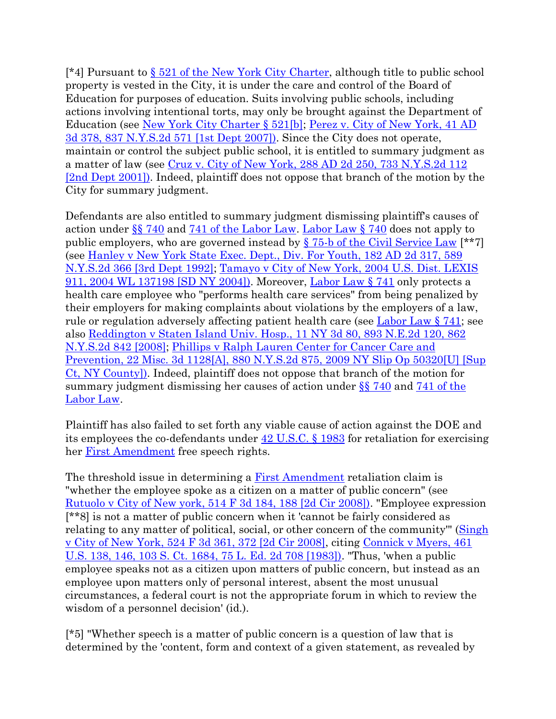[\*4] Pursuant to  $\S 521$  of the New York City Charter, although title to public school property is vested in the City, it is under the care and control of the Board of Education for purposes of education. Suits involving public schools, including actions involving intentional torts, may only be brought against the Department of Education (see [New York City Charter § 521\[b\];](http://www.lexisnexis.com.ezproxy.strose.edu/lnacui2api/mungo/lexseestat.do?bct=A&risb=21_T12113245904&homeCsi=9095&A=0.47648393406300316&urlEnc=ISO-8859-1&&citeString=N.Y.%20CITY%20CHARTER%20521&countryCode=USA) [Perez v. City of New York, 41 AD](http://www.lexisnexis.com.ezproxy.strose.edu/lnacui2api/mungo/lexseestat.do?bct=A&risb=21_T12113245904&homeCsi=9095&A=0.47648393406300316&urlEnc=ISO-8859-1&&citeString=41%20A.D.3d%20378&countryCode=USA)  [3d 378, 837 N.Y.S.2d 571 \[1st Dept 2007\]\).](http://www.lexisnexis.com.ezproxy.strose.edu/lnacui2api/mungo/lexseestat.do?bct=A&risb=21_T12113245904&homeCsi=9095&A=0.47648393406300316&urlEnc=ISO-8859-1&&citeString=41%20A.D.3d%20378&countryCode=USA) Since the City does not operate, maintain or control the subject public school, it is entitled to summary judgment as a matter of law (see [Cruz v. City of New York, 288 AD 2d 250, 733 N.Y.S.2d 112](http://www.lexisnexis.com.ezproxy.strose.edu/lnacui2api/mungo/lexseestat.do?bct=A&risb=21_T12113245904&homeCsi=9095&A=0.47648393406300316&urlEnc=ISO-8859-1&&citeString=288%20A.D.2d%20250&countryCode=USA)  [\[2nd Dept 2001\]\).](http://www.lexisnexis.com.ezproxy.strose.edu/lnacui2api/mungo/lexseestat.do?bct=A&risb=21_T12113245904&homeCsi=9095&A=0.47648393406300316&urlEnc=ISO-8859-1&&citeString=288%20A.D.2d%20250&countryCode=USA) Indeed, plaintiff does not oppose that branch of the motion by the City for summary judgment.

Defendants are also entitled to summary judgment dismissing plaintiff's causes of action under  $\S$  740 and [741 of the Labor Law.](http://www.lexisnexis.com.ezproxy.strose.edu/lnacui2api/mungo/lexseestat.do?bct=A&risb=21_T12113245904&homeCsi=9095&A=0.47648393406300316&urlEnc=ISO-8859-1&&citeString=N.Y.%20LAB.%20LAW%20741&countryCode=USA) Labor Law  $\S$  740 does not apply to public employers, who are governed instead by  $\S$  75-b of the Civil Service Law [\*\*7] (see [Hanley v New York State Exec. Dept., Div. For Youth, 182 AD 2d 317, 589](http://www.lexisnexis.com.ezproxy.strose.edu/lnacui2api/mungo/lexseestat.do?bct=A&risb=21_T12113245904&homeCsi=9095&A=0.47648393406300316&urlEnc=ISO-8859-1&&citeString=182%20A.D.2d%20317&countryCode=USA)  [N.Y.S.2d 366 \[3rd Dept 1992\];](http://www.lexisnexis.com.ezproxy.strose.edu/lnacui2api/mungo/lexseestat.do?bct=A&risb=21_T12113245904&homeCsi=9095&A=0.47648393406300316&urlEnc=ISO-8859-1&&citeString=182%20A.D.2d%20317&countryCode=USA) [Tamayo v City of New York, 2004 U.S. Dist. LEXIS](http://www.lexisnexis.com.ezproxy.strose.edu/lnacui2api/mungo/lexseestat.do?bct=A&risb=21_T12113245904&homeCsi=9095&A=0.47648393406300316&urlEnc=ISO-8859-1&&citeString=2004%20U.S.%20Dist.%20LEXIS%20911&countryCode=USA)  [911, 2004 WL 137198 \[SD NY 2004\]\).](http://www.lexisnexis.com.ezproxy.strose.edu/lnacui2api/mungo/lexseestat.do?bct=A&risb=21_T12113245904&homeCsi=9095&A=0.47648393406300316&urlEnc=ISO-8859-1&&citeString=2004%20U.S.%20Dist.%20LEXIS%20911&countryCode=USA) Moreover, [Labor Law § 741](http://www.lexisnexis.com.ezproxy.strose.edu/lnacui2api/mungo/lexseestat.do?bct=A&risb=21_T12113245904&homeCsi=9095&A=0.47648393406300316&urlEnc=ISO-8859-1&&citeString=N.Y.%20LAB.%20LAW%20741&countryCode=USA) only protects a health care employee who "performs health care services" from being penalized by their employers for making complaints about violations by the employers of a law, rule or regulation adversely affecting patient health care (see [Labor Law § 741;](http://www.lexisnexis.com.ezproxy.strose.edu/lnacui2api/mungo/lexseestat.do?bct=A&risb=21_T12113245904&homeCsi=9095&A=0.47648393406300316&urlEnc=ISO-8859-1&&citeString=N.Y.%20LAB.%20LAW%20741&countryCode=USA) see also [Reddington v Staten Island Univ. Hosp., 11 NY 3d 80, 893 N.E.2d 120, 862](http://www.lexisnexis.com.ezproxy.strose.edu/lnacui2api/mungo/lexseestat.do?bct=A&risb=21_T12113245904&homeCsi=9095&A=0.47648393406300316&urlEnc=ISO-8859-1&&citeString=11%20N.Y.3d%2080&countryCode=USA)  [N.Y.S.2d 842 \[2008\];](http://www.lexisnexis.com.ezproxy.strose.edu/lnacui2api/mungo/lexseestat.do?bct=A&risb=21_T12113245904&homeCsi=9095&A=0.47648393406300316&urlEnc=ISO-8859-1&&citeString=11%20N.Y.3d%2080&countryCode=USA) [Phillips v Ralph Lauren Center for Cancer Care and](http://www.lexisnexis.com.ezproxy.strose.edu/lnacui2api/mungo/lexseestat.do?bct=A&risb=21_T12113245904&homeCsi=9095&A=0.47648393406300316&urlEnc=ISO-8859-1&&citeString=22%20Misc.%203d%201128A&countryCode=USA)  [Prevention, 22 Misc. 3d 1128\[A\], 880 N.Y.S.2d 875, 2009 NY Slip Op 50320\[U\] \[Sup](http://www.lexisnexis.com.ezproxy.strose.edu/lnacui2api/mungo/lexseestat.do?bct=A&risb=21_T12113245904&homeCsi=9095&A=0.47648393406300316&urlEnc=ISO-8859-1&&citeString=22%20Misc.%203d%201128A&countryCode=USA)  [Ct, NY County\]\).](http://www.lexisnexis.com.ezproxy.strose.edu/lnacui2api/mungo/lexseestat.do?bct=A&risb=21_T12113245904&homeCsi=9095&A=0.47648393406300316&urlEnc=ISO-8859-1&&citeString=22%20Misc.%203d%201128A&countryCode=USA) Indeed, plaintiff does not oppose that branch of the motion for summary judgment dismissing her causes of action under  $\S$  740 and 741 of the [Labor Law.](http://www.lexisnexis.com.ezproxy.strose.edu/lnacui2api/mungo/lexseestat.do?bct=A&risb=21_T12113245904&homeCsi=9095&A=0.47648393406300316&urlEnc=ISO-8859-1&&citeString=N.Y.%20LAB.%20LAW%20741&countryCode=USA)

Plaintiff has also failed to set forth any viable cause of action against the DOE and its employees the co-defendants under [42 U.S.C. § 1983](http://www.lexisnexis.com.ezproxy.strose.edu/lnacui2api/mungo/lexseestat.do?bct=A&risb=21_T12113245904&homeCsi=9095&A=0.47648393406300316&urlEnc=ISO-8859-1&&citeString=42%20U.S.C.%201983&countryCode=USA) for retaliation for exercising her [First Amendment](http://www.lexisnexis.com.ezproxy.strose.edu/lnacui2api/mungo/lexseestat.do?bct=A&risb=21_T12113245904&homeCsi=9095&A=0.47648393406300316&urlEnc=ISO-8859-1&&citeString=U.S.%20CONST.%20AMEND.%201&countryCode=USA) free speech rights.

The threshold issue in determining a [First Amendment](http://www.lexisnexis.com.ezproxy.strose.edu/lnacui2api/mungo/lexseestat.do?bct=A&risb=21_T12113245904&homeCsi=9095&A=0.47648393406300316&urlEnc=ISO-8859-1&&citeString=U.S.%20CONST.%20AMEND.%201&countryCode=USA) retaliation claim is "whether the employee spoke as a citizen on a matter of public concern" (see [Rutuolo v City of New york, 514 F 3d 184, 188 \[2d Cir 2008\]\).](http://www.lexisnexis.com.ezproxy.strose.edu/lnacui2api/mungo/lexseestat.do?bct=A&risb=21_T12113245904&homeCsi=9095&A=0.47648393406300316&urlEnc=ISO-8859-1&&citeString=514%20F.3d%20184,%20188&countryCode=USA) "Employee expression [\*\*8] is not a matter of public concern when it 'cannot be fairly considered as relating to any matter of political, social, or other concern of the community" (Singh [v City of New York, 524 F 3d 361, 372 \[2d Cir 2008\],](http://www.lexisnexis.com.ezproxy.strose.edu/lnacui2api/mungo/lexseestat.do?bct=A&risb=21_T12113245904&homeCsi=9095&A=0.47648393406300316&urlEnc=ISO-8859-1&&citeString=524%20F.3d%20361,%20372&countryCode=USA) citing [Connick v Myers, 461](http://www.lexisnexis.com.ezproxy.strose.edu/lnacui2api/mungo/lexseestat.do?bct=A&risb=21_T12113245904&homeCsi=9095&A=0.47648393406300316&urlEnc=ISO-8859-1&&citeString=461%20U.S.%20138,%20146&countryCode=USA)  [U.S. 138, 146, 103 S. Ct. 1684, 75 L. Ed. 2d 708 \[1983\]\).](http://www.lexisnexis.com.ezproxy.strose.edu/lnacui2api/mungo/lexseestat.do?bct=A&risb=21_T12113245904&homeCsi=9095&A=0.47648393406300316&urlEnc=ISO-8859-1&&citeString=461%20U.S.%20138,%20146&countryCode=USA) "Thus, 'when a public employee speaks not as a citizen upon matters of public concern, but instead as an employee upon matters only of personal interest, absent the most unusual circumstances, a federal court is not the appropriate forum in which to review the wisdom of a personnel decision' (id.).

[\*5] "Whether speech is a matter of public concern is a question of law that is determined by the 'content, form and context of a given statement, as revealed by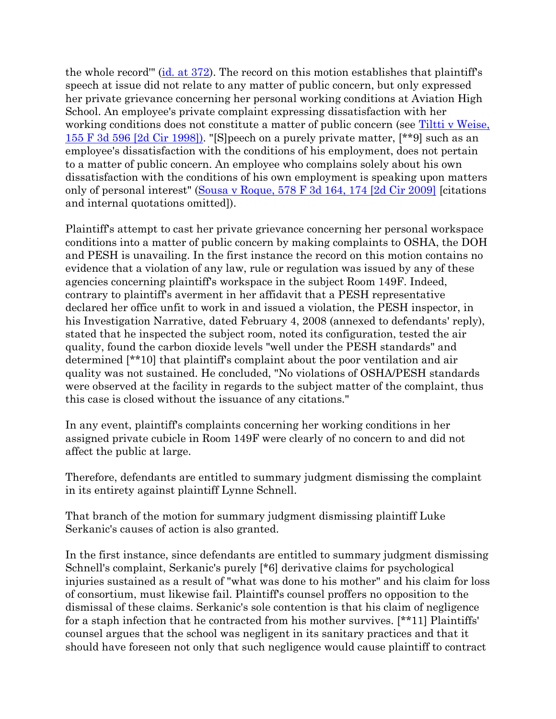the whole record''' ( $id$ , at 372). The record on this motion establishes that plaintiff's speech at issue did not relate to any matter of public concern, but only expressed her private grievance concerning her personal working conditions at Aviation High School. An employee's private complaint expressing dissatisfaction with her working conditions does not constitute a matter of public concern (see [Tiltti v Weise,](http://www.lexisnexis.com.ezproxy.strose.edu/lnacui2api/mungo/lexseestat.do?bct=A&risb=21_T12113245904&homeCsi=9095&A=0.47648393406300316&urlEnc=ISO-8859-1&&citeString=155%20F.3d%20596&countryCode=USA)  [155 F 3d 596 \[2d Cir 1998\]\).](http://www.lexisnexis.com.ezproxy.strose.edu/lnacui2api/mungo/lexseestat.do?bct=A&risb=21_T12113245904&homeCsi=9095&A=0.47648393406300316&urlEnc=ISO-8859-1&&citeString=155%20F.3d%20596&countryCode=USA) "[S]peech on a purely private matter, [\*\*9] such as an employee's dissatisfaction with the conditions of his employment, does not pertain to a matter of public concern. An employee who complains solely about his own dissatisfaction with the conditions of his own employment is speaking upon matters only of personal interest" [\(Sousa v Roque, 578 F 3d 164, 174 \[2d Cir 2009\]](http://www.lexisnexis.com.ezproxy.strose.edu/lnacui2api/mungo/lexseestat.do?bct=A&risb=21_T12113245904&homeCsi=9095&A=0.47648393406300316&urlEnc=ISO-8859-1&&citeString=578%20F.3d%20164,%20174&countryCode=USA) [citations and internal quotations omitted]).

Plaintiff's attempt to cast her private grievance concerning her personal workspace conditions into a matter of public concern by making complaints to OSHA, the DOH and PESH is unavailing. In the first instance the record on this motion contains no evidence that a violation of any law, rule or regulation was issued by any of these agencies concerning plaintiff's workspace in the subject Room 149F. Indeed, contrary to plaintiff's averment in her affidavit that a PESH representative declared her office unfit to work in and issued a violation, the PESH inspector, in his Investigation Narrative, dated February 4, 2008 (annexed to defendants' reply), stated that he inspected the subject room, noted its configuration, tested the air quality, found the carbon dioxide levels "well under the PESH standards" and determined [\*\*10] that plaintiff's complaint about the poor ventilation and air quality was not sustained. He concluded, "No violations of OSHA/PESH standards were observed at the facility in regards to the subject matter of the complaint, thus this case is closed without the issuance of any citations."

In any event, plaintiff's complaints concerning her working conditions in her assigned private cubicle in Room 149F were clearly of no concern to and did not affect the public at large.

Therefore, defendants are entitled to summary judgment dismissing the complaint in its entirety against plaintiff Lynne Schnell.

That branch of the motion for summary judgment dismissing plaintiff Luke Serkanic's causes of action is also granted.

In the first instance, since defendants are entitled to summary judgment dismissing Schnell's complaint, Serkanic's purely [\*6] derivative claims for psychological injuries sustained as a result of "what was done to his mother" and his claim for loss of consortium, must likewise fail. Plaintiff's counsel proffers no opposition to the dismissal of these claims. Serkanic's sole contention is that his claim of negligence for a staph infection that he contracted from his mother survives. [\*\*11] Plaintiffs' counsel argues that the school was negligent in its sanitary practices and that it should have foreseen not only that such negligence would cause plaintiff to contract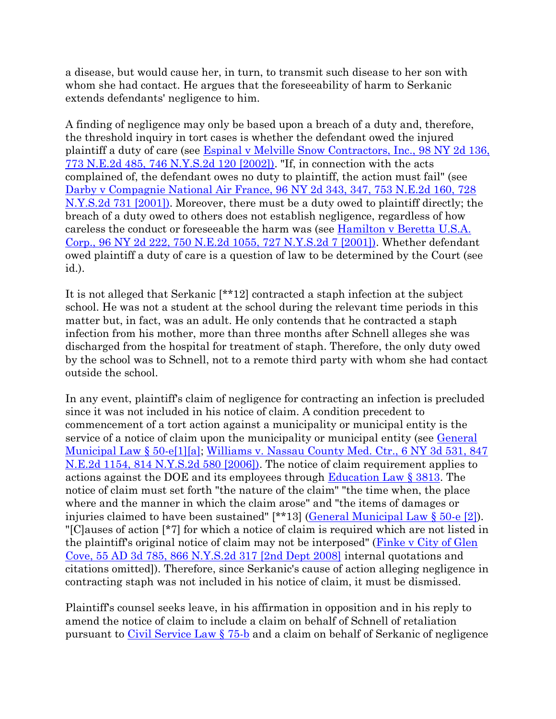a disease, but would cause her, in turn, to transmit such disease to her son with whom she had contact. He argues that the foreseeability of harm to Serkanic extends defendants' negligence to him.

A finding of negligence may only be based upon a breach of a duty and, therefore, the threshold inquiry in tort cases is whether the defendant owed the injured plaintiff a duty of care (see [Espinal v Melville Snow Contractors, Inc., 98 NY 2d 136,](http://www.lexisnexis.com.ezproxy.strose.edu/lnacui2api/mungo/lexseestat.do?bct=A&risb=21_T12113245904&homeCsi=9095&A=0.47648393406300316&urlEnc=ISO-8859-1&&citeString=98%20N.Y.2d%20136&countryCode=USA)  [773 N.E.2d 485, 746 N.Y.S.2d 120 \[2002\]\).](http://www.lexisnexis.com.ezproxy.strose.edu/lnacui2api/mungo/lexseestat.do?bct=A&risb=21_T12113245904&homeCsi=9095&A=0.47648393406300316&urlEnc=ISO-8859-1&&citeString=98%20N.Y.2d%20136&countryCode=USA) "If, in connection with the acts complained of, the defendant owes no duty to plaintiff, the action must fail" (see [Darby v Compagnie National Air France, 96 NY 2d 343, 347, 753 N.E.2d 160, 728](http://www.lexisnexis.com.ezproxy.strose.edu/lnacui2api/mungo/lexseestat.do?bct=A&risb=21_T12113245904&homeCsi=9095&A=0.47648393406300316&urlEnc=ISO-8859-1&&citeString=96%20N.Y.2d%20343,%20347&countryCode=USA)  [N.Y.S.2d 731 \[2001\]\).](http://www.lexisnexis.com.ezproxy.strose.edu/lnacui2api/mungo/lexseestat.do?bct=A&risb=21_T12113245904&homeCsi=9095&A=0.47648393406300316&urlEnc=ISO-8859-1&&citeString=96%20N.Y.2d%20343,%20347&countryCode=USA) Moreover, there must be a duty owed to plaintiff directly; the breach of a duty owed to others does not establish negligence, regardless of how careless the conduct or foreseeable the harm was (see [Hamilton v Beretta U.S.A.](http://www.lexisnexis.com.ezproxy.strose.edu/lnacui2api/mungo/lexseestat.do?bct=A&risb=21_T12113245904&homeCsi=9095&A=0.47648393406300316&urlEnc=ISO-8859-1&&citeString=96%20N.Y.2d%20222&countryCode=USA)  [Corp., 96 NY 2d 222, 750 N.E.2d 1055, 727 N.Y.S.2d 7 \[2001\]\).](http://www.lexisnexis.com.ezproxy.strose.edu/lnacui2api/mungo/lexseestat.do?bct=A&risb=21_T12113245904&homeCsi=9095&A=0.47648393406300316&urlEnc=ISO-8859-1&&citeString=96%20N.Y.2d%20222&countryCode=USA) Whether defendant owed plaintiff a duty of care is a question of law to be determined by the Court (see id.).

It is not alleged that Serkanic [\*\*12] contracted a staph infection at the subject school. He was not a student at the school during the relevant time periods in this matter but, in fact, was an adult. He only contends that he contracted a staph infection from his mother, more than three months after Schnell alleges she was discharged from the hospital for treatment of staph. Therefore, the only duty owed by the school was to Schnell, not to a remote third party with whom she had contact outside the school.

In any event, plaintiff's claim of negligence for contracting an infection is precluded since it was not included in his notice of claim. A condition precedent to commencement of a tort action against a municipality or municipal entity is the service of a notice of claim upon the municipality or municipal entity (see *General* [Municipal Law § 50-e\[1\]\[a\];](http://www.lexisnexis.com.ezproxy.strose.edu/lnacui2api/mungo/lexseestat.do?bct=A&risb=21_T12113245904&homeCsi=9095&A=0.47648393406300316&urlEnc=ISO-8859-1&&citeString=N.Y.%20GEN.%20MUN.%20LAW%2050-E&countryCode=USA) [Williams v. Nassau County Med. Ctr., 6 NY 3d 531, 847](http://www.lexisnexis.com.ezproxy.strose.edu/lnacui2api/mungo/lexseestat.do?bct=A&risb=21_T12113245904&homeCsi=9095&A=0.47648393406300316&urlEnc=ISO-8859-1&&citeString=6%20N.Y.3d%20531&countryCode=USA)  [N.E.2d 1154, 814 N.Y.S.2d 580 \[2006\]\).](http://www.lexisnexis.com.ezproxy.strose.edu/lnacui2api/mungo/lexseestat.do?bct=A&risb=21_T12113245904&homeCsi=9095&A=0.47648393406300316&urlEnc=ISO-8859-1&&citeString=6%20N.Y.3d%20531&countryCode=USA) The notice of claim requirement applies to actions against the DOE and its employees through [Education Law § 3813.](http://www.lexisnexis.com.ezproxy.strose.edu/lnacui2api/mungo/lexseestat.do?bct=A&risb=21_T12113245904&homeCsi=9095&A=0.47648393406300316&urlEnc=ISO-8859-1&&citeString=N.Y.%20EDUC.%20LAW%203813&countryCode=USA) The notice of claim must set forth "the nature of the claim" "the time when, the place where and the manner in which the claim arose" and "the items of damages or injuries claimed to have been sustained" [\*\*13] [\(General Municipal Law § 50-e \[2\]\)](http://www.lexisnexis.com.ezproxy.strose.edu/lnacui2api/mungo/lexseestat.do?bct=A&risb=21_T12113245904&homeCsi=9095&A=0.47648393406300316&urlEnc=ISO-8859-1&&citeString=N.Y.%20GEN.%20MUN.%20LAW%2050-E&countryCode=USA). "[C]auses of action [\*7] for which a notice of claim is required which are not listed in the plaintiff's original notice of claim may not be interposed" [\(Finke v City of Glen](http://www.lexisnexis.com.ezproxy.strose.edu/lnacui2api/mungo/lexseestat.do?bct=A&risb=21_T12113245904&homeCsi=9095&A=0.47648393406300316&urlEnc=ISO-8859-1&&citeString=55%20A.D.3d%20785&countryCode=USA)  [Cove, 55 AD 3d 785, 866 N.Y.S.2d 317 \[2nd Dept 2008\]](http://www.lexisnexis.com.ezproxy.strose.edu/lnacui2api/mungo/lexseestat.do?bct=A&risb=21_T12113245904&homeCsi=9095&A=0.47648393406300316&urlEnc=ISO-8859-1&&citeString=55%20A.D.3d%20785&countryCode=USA) internal quotations and citations omitted]). Therefore, since Serkanic's cause of action alleging negligence in contracting staph was not included in his notice of claim, it must be dismissed.

Plaintiff's counsel seeks leave, in his affirmation in opposition and in his reply to amend the notice of claim to include a claim on behalf of Schnell of retaliation pursuant to [Civil Service Law § 75-b](http://www.lexisnexis.com.ezproxy.strose.edu/lnacui2api/mungo/lexseestat.do?bct=A&risb=21_T12113245904&homeCsi=9095&A=0.47648393406300316&urlEnc=ISO-8859-1&&citeString=N.Y.%20CIV.%20SERV.%20LAW%2075-B&countryCode=USA) and a claim on behalf of Serkanic of negligence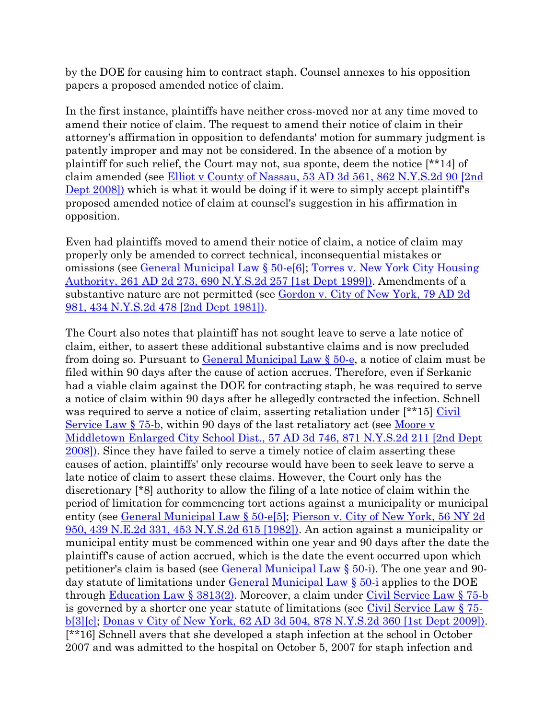by the DOE for causing him to contract staph. Counsel annexes to his opposition papers a proposed amended notice of claim.

In the first instance, plaintiffs have neither cross-moved nor at any time moved to amend their notice of claim. The request to amend their notice of claim in their attorney's affirmation in opposition to defendants' motion for summary judgment is patently improper and may not be considered. In the absence of a motion by plaintiff for such relief, the Court may not, sua sponte, deem the notice [\*\*14] of claim amended (see [Elliot v County of Nassau, 53 AD 3d 561, 862 N.Y.S.2d 90 \[2nd](http://www.lexisnexis.com.ezproxy.strose.edu/lnacui2api/mungo/lexseestat.do?bct=A&risb=21_T12113245904&homeCsi=9095&A=0.47648393406300316&urlEnc=ISO-8859-1&&citeString=53%20A.D.3d%20561&countryCode=USA)  [Dept 2008\]\)](http://www.lexisnexis.com.ezproxy.strose.edu/lnacui2api/mungo/lexseestat.do?bct=A&risb=21_T12113245904&homeCsi=9095&A=0.47648393406300316&urlEnc=ISO-8859-1&&citeString=53%20A.D.3d%20561&countryCode=USA) which is what it would be doing if it were to simply accept plaintiff's proposed amended notice of claim at counsel's suggestion in his affirmation in opposition.

Even had plaintiffs moved to amend their notice of claim, a notice of claim may properly only be amended to correct technical, inconsequential mistakes or omissions (see [General Municipal Law § 50-e\[6\];](http://www.lexisnexis.com.ezproxy.strose.edu/lnacui2api/mungo/lexseestat.do?bct=A&risb=21_T12113245904&homeCsi=9095&A=0.47648393406300316&urlEnc=ISO-8859-1&&citeString=N.Y.%20GEN.%20MUN.%20LAW%2050-E&countryCode=USA) [Torres v. New York City Housing](http://www.lexisnexis.com.ezproxy.strose.edu/lnacui2api/mungo/lexseestat.do?bct=A&risb=21_T12113245904&homeCsi=9095&A=0.47648393406300316&urlEnc=ISO-8859-1&&citeString=261%20A.D.2d%20273&countryCode=USA)  [Authority, 261 AD 2d 273, 690 N.Y.S.2d 257 \[1st Dept 1999\]\).](http://www.lexisnexis.com.ezproxy.strose.edu/lnacui2api/mungo/lexseestat.do?bct=A&risb=21_T12113245904&homeCsi=9095&A=0.47648393406300316&urlEnc=ISO-8859-1&&citeString=261%20A.D.2d%20273&countryCode=USA) Amendments of a substantive nature are not permitted (see Gordon v. City of New York, 79 AD 2d [981, 434 N.Y.S.2d 478 \[2nd Dept 1981\]\).](http://www.lexisnexis.com.ezproxy.strose.edu/lnacui2api/mungo/lexseestat.do?bct=A&risb=21_T12113245904&homeCsi=9095&A=0.47648393406300316&urlEnc=ISO-8859-1&&citeString=79%20A.D.2d%20981&countryCode=USA)

The Court also notes that plaintiff has not sought leave to serve a late notice of claim, either, to assert these additional substantive claims and is now precluded from doing so. Pursuant to **General Municipal Law**  $\S$  50-e, a notice of claim must be filed within 90 days after the cause of action accrues. Therefore, even if Serkanic had a viable claim against the DOE for contracting staph, he was required to serve a notice of claim within 90 days after he allegedly contracted the infection. Schnell was required to serve a notice of claim, asserting retaliation under [\*\*15] Civil [Service Law § 75-b,](http://www.lexisnexis.com.ezproxy.strose.edu/lnacui2api/mungo/lexseestat.do?bct=A&risb=21_T12113245904&homeCsi=9095&A=0.47648393406300316&urlEnc=ISO-8859-1&&citeString=N.Y.%20CIV.%20SERV.%20LAW%2075-B&countryCode=USA) within 90 days of the last retaliatory act (see [Moore v](http://www.lexisnexis.com.ezproxy.strose.edu/lnacui2api/mungo/lexseestat.do?bct=A&risb=21_T12113245904&homeCsi=9095&A=0.47648393406300316&urlEnc=ISO-8859-1&&citeString=57%20A.D.3d%20746&countryCode=USA)  [Middletown Enlarged City School Dist., 57 AD 3d 746, 871 N.Y.S.2d 211 \[2nd Dept](http://www.lexisnexis.com.ezproxy.strose.edu/lnacui2api/mungo/lexseestat.do?bct=A&risb=21_T12113245904&homeCsi=9095&A=0.47648393406300316&urlEnc=ISO-8859-1&&citeString=57%20A.D.3d%20746&countryCode=USA)  [2008\]\).](http://www.lexisnexis.com.ezproxy.strose.edu/lnacui2api/mungo/lexseestat.do?bct=A&risb=21_T12113245904&homeCsi=9095&A=0.47648393406300316&urlEnc=ISO-8859-1&&citeString=57%20A.D.3d%20746&countryCode=USA) Since they have failed to serve a timely notice of claim asserting these causes of action, plaintiffs' only recourse would have been to seek leave to serve a late notice of claim to assert these claims. However, the Court only has the discretionary [\*8] authority to allow the filing of a late notice of claim within the period of limitation for commencing tort actions against a municipality or municipal entity (see [General Municipal Law § 50-e\[5\];](http://www.lexisnexis.com.ezproxy.strose.edu/lnacui2api/mungo/lexseestat.do?bct=A&risb=21_T12113245904&homeCsi=9095&A=0.47648393406300316&urlEnc=ISO-8859-1&&citeString=N.Y.%20GEN.%20MUN.%20LAW%2050-E&countryCode=USA) Pierson v. City of New York, 56 NY 2d [950, 439 N.E.2d 331, 453 N.Y.S.2d 615 \[1982\]\).](http://www.lexisnexis.com.ezproxy.strose.edu/lnacui2api/mungo/lexseestat.do?bct=A&risb=21_T12113245904&homeCsi=9095&A=0.47648393406300316&urlEnc=ISO-8859-1&&citeString=56%20N.Y.2d%20950&countryCode=USA) An action against a municipality or municipal entity must be commenced within one year and 90 days after the date the plaintiff's cause of action accrued, which is the date the event occurred upon which petitioner's claim is based (see  $General$  Municipal Law  $\S$  50-i). The one year and 90day statute of limitations under [General Municipal Law § 50-i](http://www.lexisnexis.com.ezproxy.strose.edu/lnacui2api/mungo/lexseestat.do?bct=A&risb=21_T12113245904&homeCsi=9095&A=0.47648393406300316&urlEnc=ISO-8859-1&&citeString=N.Y.%20GEN.%20MUN.%20LAW%2050-I&countryCode=USA) applies to the DOE through [Education Law § 3813\(2\).](http://www.lexisnexis.com.ezproxy.strose.edu/lnacui2api/mungo/lexseestat.do?bct=A&risb=21_T12113245904&homeCsi=9095&A=0.47648393406300316&urlEnc=ISO-8859-1&&citeString=N.Y.%20EDUC.%20LAW%203813&countryCode=USA) Moreover, a claim under [Civil Service Law § 75-b](http://www.lexisnexis.com.ezproxy.strose.edu/lnacui2api/mungo/lexseestat.do?bct=A&risb=21_T12113245904&homeCsi=9095&A=0.47648393406300316&urlEnc=ISO-8859-1&&citeString=N.Y.%20CIV.%20SERV.%20LAW%2075-B&countryCode=USA) is governed by a shorter one year statute of limitations (see  $Civil$  Service Law  $\S 75$ [b\[3\]\[c\];](http://www.lexisnexis.com.ezproxy.strose.edu/lnacui2api/mungo/lexseestat.do?bct=A&risb=21_T12113245904&homeCsi=9095&A=0.47648393406300316&urlEnc=ISO-8859-1&&citeString=N.Y.%20CIV.%20SERV.%20LAW%2075-B&countryCode=USA) [Donas v City of New York, 62 AD 3d 504, 878 N.Y.S.2d 360 \[1st Dept 2009\]\).](http://www.lexisnexis.com.ezproxy.strose.edu/lnacui2api/mungo/lexseestat.do?bct=A&risb=21_T12113245904&homeCsi=9095&A=0.47648393406300316&urlEnc=ISO-8859-1&&citeString=62%20A.D.3d%20504&countryCode=USA) [\*\*16] Schnell avers that she developed a staph infection at the school in October 2007 and was admitted to the hospital on October 5, 2007 for staph infection and